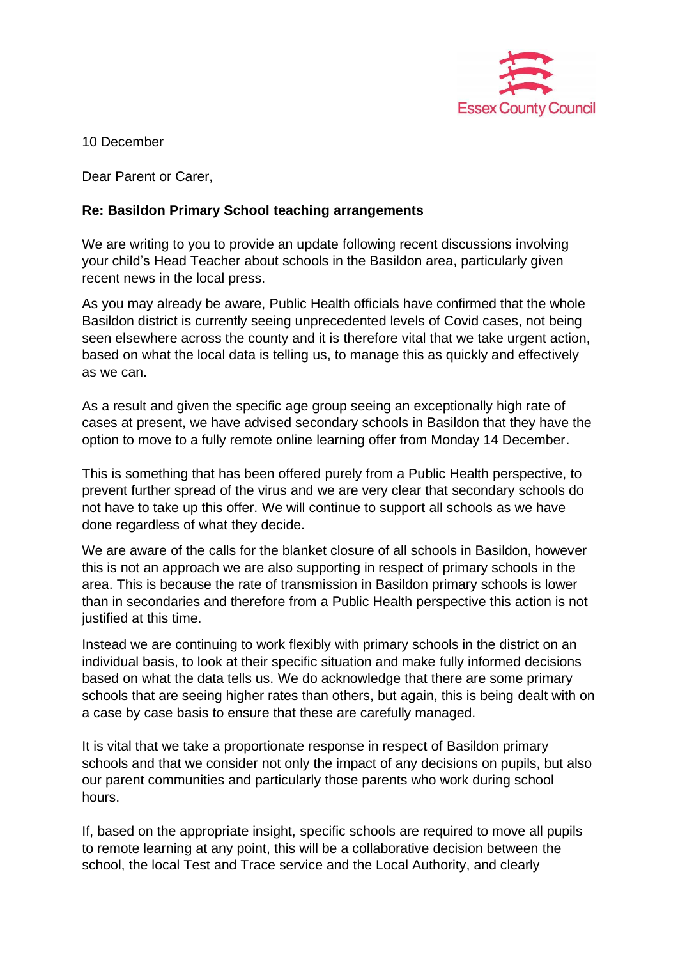

10 December

Dear Parent or Carer,

## **Re: Basildon Primary School teaching arrangements**

We are writing to you to provide an update following recent discussions involving your child's Head Teacher about schools in the Basildon area, particularly given recent news in the local press.

As you may already be aware, Public Health officials have confirmed that the whole Basildon district is currently seeing unprecedented levels of Covid cases, not being seen elsewhere across the county and it is therefore vital that we take urgent action, based on what the local data is telling us, to manage this as quickly and effectively as we can.

As a result and given the specific age group seeing an exceptionally high rate of cases at present, we have advised secondary schools in Basildon that they have the option to move to a fully remote online learning offer from Monday 14 December.

This is something that has been offered purely from a Public Health perspective, to prevent further spread of the virus and we are very clear that secondary schools do not have to take up this offer. We will continue to support all schools as we have done regardless of what they decide.

We are aware of the calls for the blanket closure of all schools in Basildon, however this is not an approach we are also supporting in respect of primary schools in the area. This is because the rate of transmission in Basildon primary schools is lower than in secondaries and therefore from a Public Health perspective this action is not justified at this time.

Instead we are continuing to work flexibly with primary schools in the district on an individual basis, to look at their specific situation and make fully informed decisions based on what the data tells us. We do acknowledge that there are some primary schools that are seeing higher rates than others, but again, this is being dealt with on a case by case basis to ensure that these are carefully managed.

It is vital that we take a proportionate response in respect of Basildon primary schools and that we consider not only the impact of any decisions on pupils, but also our parent communities and particularly those parents who work during school hours.

If, based on the appropriate insight, specific schools are required to move all pupils to remote learning at any point, this will be a collaborative decision between the school, the local Test and Trace service and the Local Authority, and clearly